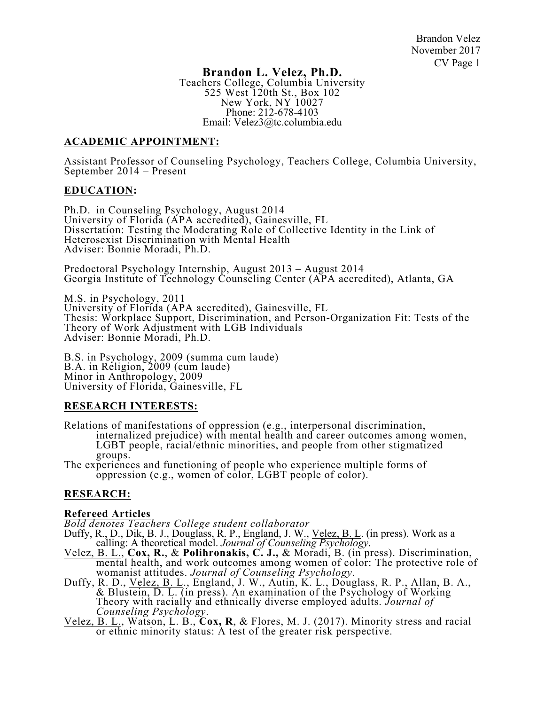# **Brandon L. Velez, Ph.D.**

Teachers College, Columbia University 525 West 120th St., Box 102 New York, NY 10027 Phone: 212-678-4103 Email: Velez3@tc.columbia.edu

# **ACADEMIC APPOINTMENT:**

Assistant Professor of Counseling Psychology, Teachers College, Columbia University, September 2014 – Present

# **EDUCATION:**

Ph.D. in Counseling Psychology, August 2014 University of Florida (APA accredited), Gainesville, FL Dissertation: Testing the Moderating Role of Collective Identity in the Link of Heterosexist Discrimination with Mental Health Adviser: Bonnie Moradi, Ph.D.

Predoctoral Psychology Internship, August 2013 – August 2014 Georgia Institute of Technology Counseling Center (APA accredited), Atlanta, GA

M.S. in Psychology, 2011 University of Florida (APA accredited), Gainesville, FL Thesis: Workplace Support, Discrimination, and Person-Organization Fit: Tests of the Theory of Work Adjustment with LGB Individuals Adviser: Bonnie Moradi, Ph.D.

B.S. in Psychology, 2009 (summa cum laude) B.A. in Religion, 2009 (cum laude) Minor in Anthropology, 2009 University of Florida, Gainesville, FL

# **RESEARCH INTERESTS:**

Relations of manifestations of oppression (e.g., interpersonal discrimination, internalized prejudice) with mental health and career outcomes among women, LGBT people, racial/ethnic minorities, and people from other stigmatized groups.

The experiences and functioning of people who experience multiple forms of oppression (e.g., women of color, LGBT people of color).

# **RESEARCH:**

- **Refereed Articles**
- 
- Duffy, R., D., Dik, B. J., Douglass, R. P., England, J. W., Velez, B. L. (in press). Work as a calling: A theoretical model. Journal of Counseling Psychology.<br>Velez, B. L., Cox, R., & Polihronakis, C. J., & Moradi, B. (in
- womanist attitudes. *Journal of Counseling Psychology*. Duffy, R. D., Velez, B. L., England, J. W., Autin, K. L., Douglass, R. P., Allan, B. A., & Blustein, D. L. (in press). An examination of the Psychology of Working Theory with racially and ethnically diverse employed adults. *Journal of Counseling Psychology.*<br>*Counseling Psychology.*<br>Velez, B. L., Watson, L. B., **Cox, R**, & Flores, M. J. (2017). Minority stress and racial
- or ethnic minority status: A test of the greater risk perspective.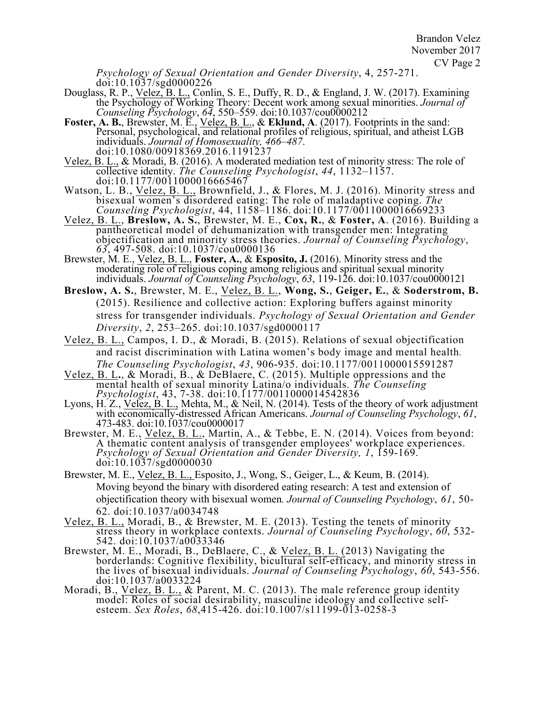Brandon Velez November 2017 CV Page 2

*Psychology of Sexual Orientation and Gender Diversity*, 4, 257-271. doi:10.1037/sgd0000226

- Douglass, R. P., Velez, B. L., Conlin, S. E., Duffy, R. D., & England, J. W. (2017). Examining the Psychology of Working Theory: Decent work among sexual minorities. *Journal of Counseling Psychology*, *64*, 550–559. doi:10.1037/cou0000212
- **Foster, A. B.**, Brewster, M. E., Velez, B. L., & **Eklund, A**. (2017). Footprints in the sand: Personal, psychological, and relational profiles of religious, spiritual, and atheist LGB individuals. *Journal of Homosexuality, 466–487*. doi:10.1080/00918369.2016.1191237
- Velez, B. L., & Moradi, B. (2016). A moderated mediation test of minority stress: The role of collective identity. *The Counseling Psychologist*, *44*, 1132–1157. doi:10.1177/0011000016665467
- Watson, L. B., *Velez, B. L., Brownfield, J., & Flores, M. J. (2016). Minority stress and* bisexual women's disordered eating: The role of maladaptive coping. *The Counseling Psychologist*, 44, 1158–1186. doi:10.1177/0011000016669233
- Velez, B. L., **Breslow, A. S.**, Brewster, M. E., **Cox, R.**, & **Foster, A**. (2016). Building a pantheoretical model of dehumanization with transgender men: Integrating objectification and minority stress theories. *Journal of Counseling Psychology*, *63*, 497-508. doi:10.1037/cou0000136
- Brewster, M. E., Velez, B. L., **Foster, A.**, & **Esposito, J.** (2016). Minority stress and the moderating role of religious coping among religious and spiritual sexual minority individuals. *Journal of Counseling Psychology*, *63*, 119-126. doi:10.1037/cou0000121
- **Breslow, A. S.**, Brewster, M. E., Velez, B. L., **Wong, S.**, **Geiger, E.**, & **Soderstrom, B.** (2015). Resilience and collective action: Exploring buffers against minority stress for transgender individuals. *Psychology of Sexual Orientation and Gender Diversity*, *2*, 253–265. doi:10.1037/sgd0000117
- Velez, B. L., Campos, I. D., & Moradi, B. (2015). Relations of sexual objectification and racist discrimination with Latina women's body image and mental health*. The Counseling Psychologist*, *43*, 906-935. doi:10.1177/0011000015591287
- Velez, B. L**.**, & Moradi, B., & DeBlaere, C. (2015). Multiple oppressions and the mental health of sexual minority Latina/o individuals. *The Counseling Psychologist*, 43, 7-38. doi:10.1177/0011000014542836
- Lyons, H. Z., Velez, B. L., Mehta, M., & Neil, N. (2014). Tests of the theory of work adjustment with economically-distressed African Americans. *Journal of Counseling Psychology*, *61*, 473-483. doi:10.1037/cou0000017
- Brewster, M. E., *Velez, B. L., Martin, A., & Tebbe, E. N.* (2014). Voices from beyond: A thematic content analysis of transgender employees' workplace experiences. *Psychology of Sexual Orientation and Gender Diversity, 1*, 159-169. doi:10.1037/sgd0000030
- Brewster, M. E., Velez, B. L., Esposito, J., Wong, S., Geiger, L., & Keum, B. (2014). Moving beyond the binary with disordered eating research: A test and extension of objectification theory with bisexual women*. Journal of Counseling Psychology*, *61*, 50- 62. doi:10.1037/a0034748
- Velez, B. L., Moradi, B., & Brewster, M. E. (2013). Testing the tenets of minority stress theory in workplace contexts. *Journal of Counseling Psychology*, *60*, 532- 542. doi:10.1037/a0033346
- Brewster, M. E., Moradi, B., DeBlaere, C., & <u>Velez, B. L.</u> (2013) Navigating the borderlands: Cognitive flexibility, bicultural self-efficacy, and minority stress in the lives of bisexual individuals. *Journal of Counseling Psychology*, *60*, 543-556. doi:10.1037/a0033224
- Moradi, B., Velez, B. L., & Parent, M. C. (2013). The male reference group identity model: Roles of social desirability, masculine ideology and collective self- esteem. *Sex Roles*, *68*,415-426. doi:10.1007/s11199-013-0258-3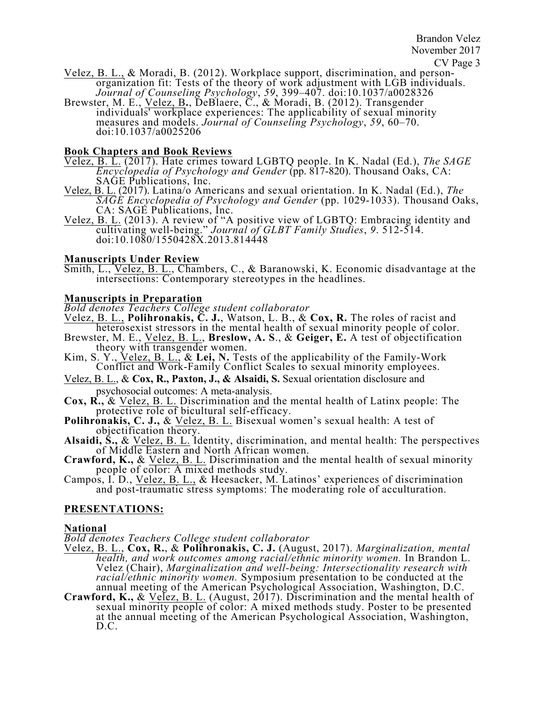- CV Page 3<br>Velez, B. L., & Moradi, B. (2012). Workplace support, discrimination, and person- $\overline{\text{organization}}$  fit: Tests of the theory of work adjustment with LGB individuals. *Journal of Counseling Psychology*, *59*, 399–407. doi:10.1037/a0028326
- Brewster, M. E., Velez, B**.**, DeBlaere, C., & Moradi, B. (2012). Transgender individuals' workplace experiences: The applicability of sexual minority measures and models. *Journal of Counseling Psychology*, *59*, 60–70. doi:10.1037/a0025206

# **Book Chapters and Book Reviews**

- Velez, B. L. (2017). Hate crimes toward LGBTQ people. In K. Nadal (Ed.), *The SAGE Encyclopedia of Psychology and Gender* (pp. 817-820). Thousand Oaks, CA: SAGE Publications, Inc.
- Velez, B. L. (2017). Latina/o Americans and sexual orientation. In K. Nadal (Ed.), *The SAGE Encyclopedia of Psychology and Gender* (pp. 1029-1033). Thousand Oaks, CA: SAGÉ Publications, Inc.
- Velez, B. L. (2013). A review of "A positive view of LGBTQ: Embracing identity and cultivating well-being." *Journal of GLBT Family Studies*, *9*. 512-514. doi:10.1080/1550428X.2013.814448

# **Manuscripts Under Review**

Smith, L., Velez, B. L., Chambers, C., & Baranowski, K. Economic disadvantage at the intersections: Contemporary stereotypes in the headlines.

# **Manuscripts in Preparation**

*Bold denotes Teachers College student collaborator*

- Velez, B. L., **Polihronakis, C. J.**, Watson, L. B., & **Cox, R.** The roles of racist and heterosexist stressors in the mental health of sexual minority people of color.
- Brewster, M. E., Velez, B. L., **Breslow, A. S**., & **Geiger, E.** A test of objectification theory with transgender women.
- Kim, S. Y., Velez, B. L., & **Lei, N.** Tests of the applicability of the Family-Work Conflict and Work-Family Conflict Scales to sexual minority employees.
- Velez, B. L., & **Cox, R., Paxton, J., & Alsaidi, S.** Sexual orientation disclosure and psychosocial outcomes: A meta-analysis.
- **Cox, R.,** & Velez, B. L. Discrimination and the mental health of Latinx people: The protective role of bicultural self-efficacy.
- **Polihronakis, C. J., & Velez, B. L. Bisexual women's sexual health: A test of** objectification theory.
- **Alsaidi, S.,** & Velez, B. L. Identity, discrimination, and mental health: The perspectives of Middle Eastern and North African women.
- **Crawford, K., & Velez, B. L.** Discrimination and the mental health of sexual minority people of color: A mixed methods study.
- Campos, I. D., Velez, B. L., & Heesacker, M. Latinos' experiences of discrimination and post-traumatic stress symptoms: The moderating role of acculturation.

# **PRESENTATIONS:**

# **National**

*Bold denotes Teachers College student collaborator*

- Velez, B. L., **Cox, R.**, & **Polihronakis, C. J.** (August, 2017). *Marginalization, mental health, and work outcomes among racial/ethnic minority women.* In Brandon L. Velez (Chair), *Marginalization and well-being: Intersectionality research with racial/ethnic minority women.* Symposium presentation to be conducted at the annual meeting of the American Psychological Association, Washington, D.C.
- **Crawford, K.,** & Velez, B. L. (August, 2017). Discrimination and the mental health of sexual minority people of color: A mixed methods study. Poster to be presented at the annual meeting of the American Psychological Association, Washington, D.C.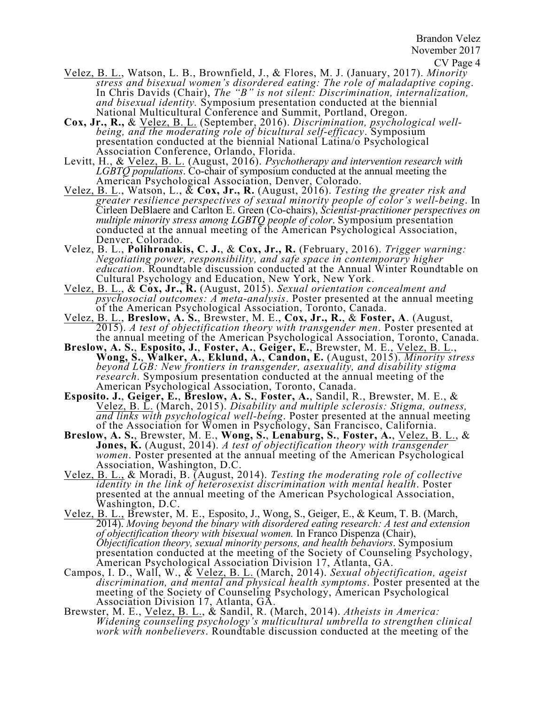Brandon Velez November 2017

- Velez, B. L., Watson, L. B., Brownfield, J., & Flores, M. J. (January, 2017). *Minority stress and bisexual women's disordered eating: The role of maladaptive coping*. In Chris Davids (Chair), *The "B" is not silent: Discrimination, internalization, and bisexual identity.* Symposium presentation conducted at the biennial National Multicultural Conference and Summit, Portland, Oregon.
- **Cox, Jr., R.,** & Velez, B. L. (September, 2016). *Discrimination, psychological well- being, and the moderating role of bicultural self-efficacy*. Symposium presentation conducted at the biennial National Latina/o Psychological Association Conference, Orlando, Florida.
- Levitt, H., & Velez, B. L. (August, 2016). *Psychotherapy and intervention research with LGBTQ populations*. Co-chair of symposium conducted at the annual meeting the American Psychological Association, Denver, Colorado. Velez, B. L., Watson, L., & **Cox, Jr., R.** (August, 2016). *Testing the greater risk and*
- *greater resilience perspectives of sexual minority people of color's well-being*. In Cirleen DeBlaere and Carlton E. Green (Co-chairs), *Scientist-practitioner perspectives on multiple minority stress among LGBTQ people of color*. Symposium presentation conducted at the annual meeting of the American Psychological Association, Denver, Colorado.
- Velez, B. L., **Polihronakis, C. J.**, & **Cox, Jr., R.** (February, 2016). *Trigger warning: Negotiating power, responsibility, and safe space in contemporary higher education*. Roundtable discussion conducted at the Annual Winter Roundtable on Cultural Psychology and Education, New York, New York.
- Velez, B. L., & **Cox, Jr., R.** (August, 2015). *Sexual orientation concealment and psychosocial outcomes: A meta-analysis*. Poster presented at the annual meeting of the American Psychological Association, Toronto, Canada.
- Velez, B. L., **Breslow, A. S.**, Brewster, M. E., **Cox, Jr., R.**, & **Foster, A**. (August, 2015). *A test of objectification theory with transgender men*. Poster presented at the annual meeting of the American Psychological Association, Toronto, Canada.
- Breslow, A. S., Esposito, J., Foster, A., Geiger, E., Brewster, M. E., Velez, B. L.,<br>Wong, S., Walker, A., Eklund, A., Candon, E. (August, 2015). Minority stress<br>beyond LGB: New frontiers in transgender, asexuality, and di *research*. Symposium presentation conducted at the annual meeting of the American Psychological Association, Toronto, Canada.
- **Esposito. J.**, **Geiger, E.**, **Breslow, A. S.**, **Foster, A.**, Sandil, R., Brewster, M. E., & Velez, B. L. (March, 2015). *Disability and multiple sclerosis: Stigma, outness, and links with psychological well-being*. Poster presented at the annual meeting of the Association for Women in Psychology, San Francisco, California.
- **Breslow, A. S.**, Brewster, M. E., **Wong, S.**, **Lenaburg, S.**, **Foster, A.**, Velez, B. L., & **Jones, K.** (August, 2014). *A test of objectification theory with transgender women*. Poster presented at the annual meeting of the American Psychological Association, Washington, D.C.
- Velez, B. L., & Moradi, B. (August, 2014). *Testing the moderating role of collective identity in the link of heterosexist discrimination with mental health*. Poster presented at the annual meeting of the American Psychological Association, Washington, D.C.
- Velez, B. L., Brewster, M. E., Esposito, J., Wong, S., Geiger, E., & Keum, T. B. (March, 2014). *Moving beyond the binary with disordered eating research: A test and extension of objectification theory with bisexual women.* In Franco Dispenza (Chair), *Objectification theory, sexual minority persons, and health behaviors*. Symposium presentation conducted at the meeting of the Society of Counseling Psychology, American Psychological Association Division 17, Atlanta, GA.
- Campos, I. D., Wall, W., & Velez, B. L. (March, 2014). *Sexual objectification, ageist discrimination, and mental and physical health symptoms*. Poster presented at the meeting of the Society of Counseling Psychology, American Psychological Association Division 17, Atlanta, GA.
- Brewster, M. E., Velez, B. L., & Sandil, R. (March, 2014). *Atheists in America: Widening counseling psychology's multicultural umbrella to strengthen clinical work with nonbelievers*. Roundtable discussion conducted at the meeting of the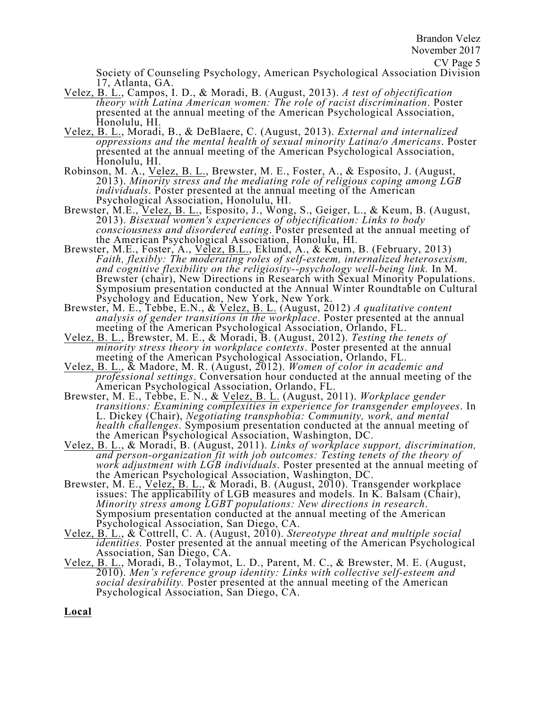Society of Counseling Psychology, American Psychological Association Division 17, Atlanta, GA.

- Velez, B. L., Campos, I. D., & Moradi, B. (August, 2013). *A test of objectification theory with Latina American women: The role of racist discrimination*. Poster presented at the annual meeting of the American Psychological Association, Honolulu, HI.
- Velez, B. L., Moradi, B., & DeBlaere, C. (August, 2013). *External and internalized oppressions and the mental health of sexual minority Latina/o Americans*. Poster presented at the annual meeting of the American Psychological Association, Honolulu, HI.
- Robinson, M. A., Velez, B. L., Brewster, M. E., Foster, A., & Esposito, J. (August, 2013). *Minority stress and the mediating role of religious coping among LGB individuals*. Poster presented at the annual meeting of the American Psychological Association, Honolulu, HI.
- Brewster, M.E., *Velez, B. L., Esposito, J., Wong, S., Geiger, L., & Keum, B. (August,* 2013). *Bisexual women's experiences of objectification: Links to body consciousness and disordered eating*. Poster presented at the annual meeting of the American Psychological Association, Honolulu, HI.
- Brewster, M.E., Foster, A., Velez, B.L., Eklund, A., & Keum, B. (February, 2013) *Faith, flexibly: The moderating roles of self-esteem, internalized heterosexism, and cognitive flexibility on the religiosity--psychology well-being link.* In M. Brewster (chair), New Directions in Research with Sexual Minority Populations. Symposium presentation conducted at the Annual Winter Roundtable on Cultural Psychology and Education, New York, New York.
- Brewster, M. E., Tebbe, E.N., & Velez, B. L. (August, 2012) *A qualitative content analysis of gender transitions in the workplace*. Poster presented at the annual meeting of the American Psychological Association, Orlando, FL.
- Velez, B. L., Brewster, M. E., & Moradi, B. (August, 2012). *Testing the tenets of minority stress theory in workplace contexts*. Poster presented at the annual
- meeting of the American Psychological Association, Orlando, FL. Velez, B. L., & Madore, M. R. (August, 2012). *Women of color in academic and professional settings*. Conversation hour conducted at the annual meeting of the American Psychological Association, Orlando, FL.
- Brewster, M. E., Tebbe, E. N., & Velez, B. L. (August, 2011). *Workplace gender transitions: Examining complexities in experience for transgender employees*. In L. Dickey (Chair), *Negotiating transphobia: Community, work, and mental health challenges*. Symposium presentation conducted at the annual meeting of the American Psychological Association, Washington, DC.
- Velez, B. L., & Moradi, B. (August, 2011). *Links of workplace support, discrimination, and person-organization fit with job outcomes: Testing tenets of the theory of work adjustment with LGB individuals*. Poster presented at the annual meeting of the American Psychological Association, Washington, DC.
- Brewster, M. E., *Velez, B. L., & Moradi, B. (August, 2010). Transgender workplace* issues: The applicability of LGB measures and models*.* In K. Balsam (Chair), *Minority stress among LGBT populations: New directions in research*. Symposium presentation conducted at the annual meeting of the American Psychological Association, San Diego, CA.
- Velez, B. L., & Cottrell, C. A. (August, 2010). *Stereotype threat and multiple social identities.* Poster presented at the annual meeting of the American Psychological Association, San Diego, CA.
- Velez, B. L., Moradi, B., Tolaymot, L. D., Parent, M. C., & Brewster, M. E. (August, 2010). *Men's reference group identity: Links with collective self-esteem and social desirability.* Poster presented at the annual meeting of the American Psychological Association, San Diego, CA.

**Local**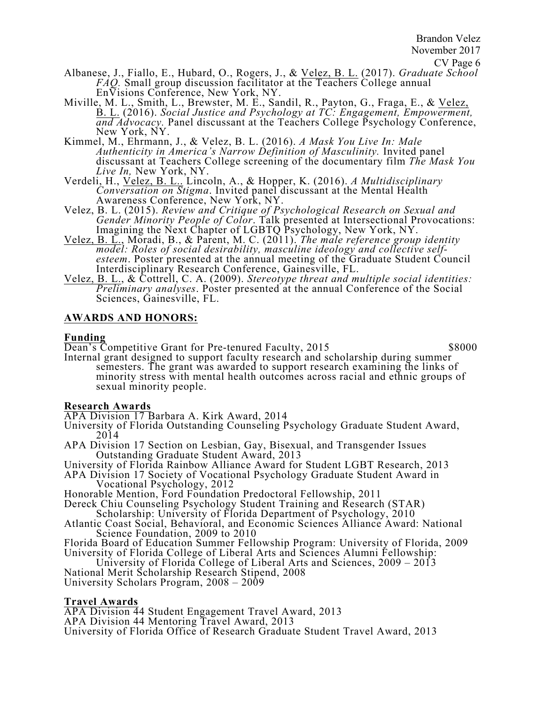Brandon Velez November 2017

- Albanese, J., Fiallo, E., Hubard, O., Rogers, J., & Velez, B. L. (2017). *Graduate School FAQ.* Small group discussion facilitator at the Teachers College annual EnVisions Conference, New York, NY.
- Miville, M. L., Smith, L., Brewster, M. E., Sandil, R., Payton, G., Fraga, E., & Velez, B. L. (2016). *Social Justice and Psychology at TC: Engagement, Empowerment, and Advocacy.* Panel discussant at the Teachers College Psychology Conference, New York, NY.
- Kimmel, M., Ehrmann, J., & Velez, B. L. (2016). *A Mask You Live In: Male Authenticity in America's Narrow Definition of Masculinity.* Invited panel discussant at Teachers College screening of the documentary film *The Mask You Live In,* New York, NY.
- Verdeli, H., Velez, B. L.. Lincoln, A., & Hopper, K. (2016). *A Multidisciplinary Conversation on Stigma*. Invited panel discussant at the Mental Health Awareness Conference, New York, NY.
- Velez, B. L. (2015). *Review and Critique of Psychological Research on Sexual and Gender Minority People of Color*. Talk presented at Intersectional Provocations: Imagining the Next Chapter of LGBTQ Psychology, New York, NY.
- Velez, B. L., Moradi, B., & Parent, M. C. (2011). The male reference group identity<br>model: Roles of social desirability, masculine ideology and collective self-<br>esteem. Poster presented at the annual meeting of the Graduat esteem. Poster presented at the annual meeting of the Graduate Student Council Interdisciplinary Research Conference, Gainesville, FL.
- Velez, B. L., & Cottrell, C. A. (2009). *Stereotype threat and multiple social identities: Preliminary analyses*. Poster presented at the annual Conference of the Social Sciences, Gainesville, FL.

# **AWARDS AND HONORS:**

# **Funding**

Dean's Competitive Grant for Pre-tenured Faculty, 2015 \$8000

Internal grant designed to support faculty research and scholarship during summer semesters. The grant was awarded to support research examining the links of minority stress with mental health outcomes across racial and ethnic groups of sexual minority people.

# **Research Awards**

APA Division 17 Barbara A. Kirk Award, 2014

- University of Florida Outstanding Counseling Psychology Graduate Student Award, 2014
- APA Division 17 Section on Lesbian, Gay, Bisexual, and Transgender Issues Outstanding Graduate Student Award, 2013
- University of Florida Rainbow Alliance Award for Student LGBT Research, 2013
- APA Division 17 Society of Vocational Psychology Graduate Student Award in Vocational Psychology, 2012 Honorable Mention, Ford Foundation Predoctoral Fellowship, 2011
- 
- Dereck Chiu Counseling Psychology Student Training and Research (STAR)
- Scholarship: University of Florida Department of Psychology, 2010
- Atlantic Coast Social, Behavioral, and Economic Sciences Alliance Award: National Science Foundation, 2009 to 2010
- Florida Board of Education Summer Fellowship Program: University of Florida, 2009 University of Florida College of Liberal Arts and Sciences Alumni Fellowship:
- University of Florida College of Liberal Arts and Sciences, 2009 2013 National Merit Scholarship Research Stipend, 2008 University Scholars Program, 2008 – 2009

# **Travel Awards**

APA Division 44 Student Engagement Travel Award, 2013 APA Division 44 Mentoring Travel Award, 2013 University of Florida Office of Research Graduate Student Travel Award, 2013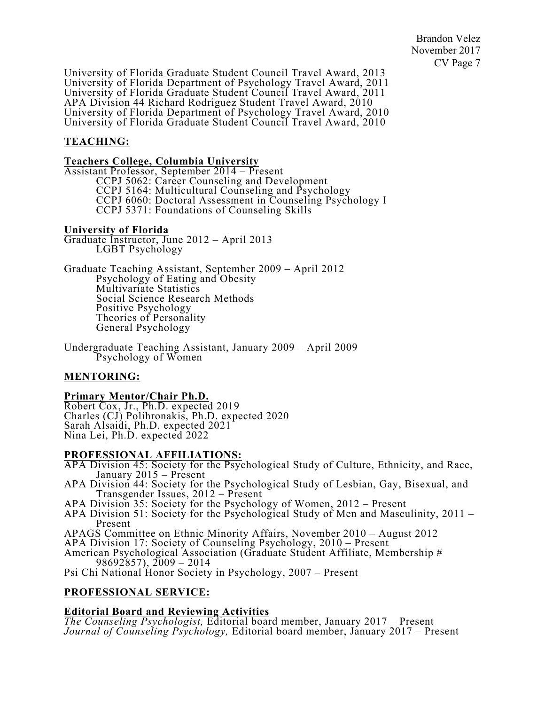Brandon Velez November 2017 CV Page 7

University of Florida Graduate Student Council Travel Award, 2013 University of Florida Department of Psychology Travel Award, 2011 University of Florida Graduate Student Council Travel Award, 2011 APA Division 44 Richard Rodriguez Student Travel Award, 2010 University of Florida Department of Psychology Travel Award, 2010 University of Florida Graduate Student Council Travel Award, 2010

# **TEACHING:**

# **Teachers College, Columbia University**

Assistant Professor, September 2014 – Present CCPJ 5062: Career Counseling and Development CCPJ 5164: Multicultural Counseling and Psychology CCPJ 6060: Doctoral Assessment in Counseling Psychology I CCPJ 5371: Foundations of Counseling Skills

### **University of Florida**

Graduate Instructor, June 2012 – April 2013<br>LGBT Psychology

Graduate Teaching Assistant, September 2009 – April 2012 Psychology of Eating and Obesity Multivariate Statistics Social Science Research Methods Positive Psychology Theories of Personality General Psychology

Undergraduate Teaching Assistant, January 2009 – April 2009 Psychology of Women

# **MENTORING:**

# **Primary Mentor/Chair Ph.D.**

Robert Cox, Jr., Ph.D. expected 2019 Charles (CJ) Polihronakis, Ph.D. expected 2020 Sarah Alsaidi, Ph.D. expected 2021 Nina Lei, Ph.D. expected 2022

# **PROFESSIONAL AFFILIATIONS:**

APA Division 45: Society for the Psychological Study of Culture, Ethnicity, and Race, January 2015 – Present

- APA Division 44: Society for the Psychological Study of Lesbian, Gay, Bisexual, and Transgender Issues, 2012 – Present
- APA Division 35: Society for the Psychology of Women, 2012 Present
- APA Division 51: Society for the Psychological Study of Men and Masculinity, 2011 Present
- APAGS Committee on Ethnic Minority Affairs, November 2010 August 2012 APA Division 17: Society of Counseling Psychology, 2010 Present

American Psychological Association (Graduate Student Affiliate, Membership # 98692857), 2009 – 2014

Psi Chi National Honor Society in Psychology, 2007 - Present

# **PROFESSIONAL SERVICE:**

# **Editorial Board and Reviewing Activities**

*The Counseling Psychologist,* Editorial board member, January 2017 – Present *Journal of Counseling Psychology,* Editorial board member, January 2017 – Present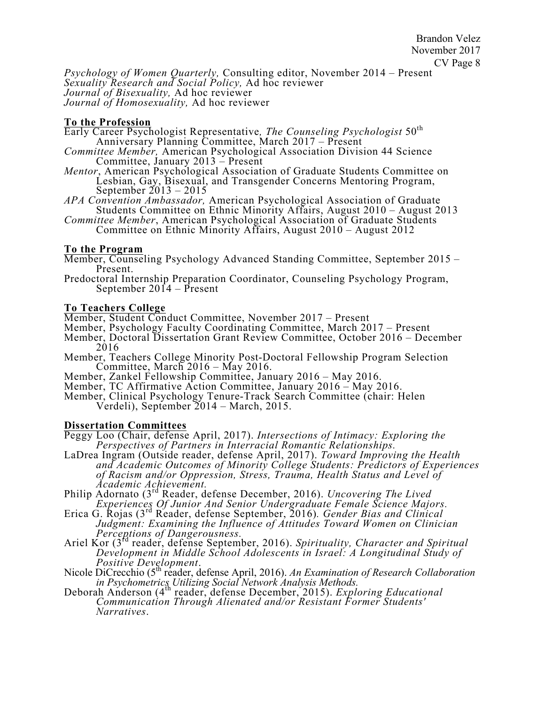*Psychology of Women Quarterly,* Consulting editor, November 2014 – Present *Sexuality Research and Social Policy,* Ad hoc reviewer *Journal of Bisexuality,* Ad hoc reviewer *Journal of Homosexuality,* Ad hoc reviewer

# **To the Profession**

Early Career Psychologist Representative*, The Counseling Psychologist* 50th Anniversary Planning Committee, March 2017 – Present

- *Committee Member,* American Psychological Association Division 44 Science Committee, January 2013 – Present
- *Mentor*, American Psychological Association of Graduate Students Committee on Lesbian, Gay, Bisexual, and Transgender Concerns Mentoring Program, September  $2013 - 2015$
- *APA Convention Ambassador,* American Psychological Association of Graduate Students Committee on Ethnic Minority Affairs, August 2010 – August 2013
- *Committee Member*, American Psychological Association of Graduate Students Committee on Ethnic Minority Affairs, August 2010 – August 2012

# **To the Program**

- Member, Counseling Psychology Advanced Standing Committee, September 2015 Present.
- Predoctoral Internship Preparation Coordinator, Counseling Psychology Program, September 2014 – Present

# **To Teachers College**

- Member, Student Conduct Committee, November 2017 Present
- Member, Psychology Faculty Coordinating Committee, March 2017 Present
- Member, Doctoral Dissertation Grant Review Committee, October 2016 December
- 2016<br>Member, Teachers College Minority Post-Doctoral Fellowship Program Selection<br>Committee, March 2016 May 2016.<br>Member, Zankel Fellowship Committee, January 2016 May 2016.<br>Member, TC Affirmative Action Committee, Jan
- 
- 
- Verdeli), September 2014 March, 2015.

# **Dissertation Committees**

- Peggy Loo (Chair, defense April, 2017). *Intersections of Intimacy: Exploring the*
- *Perspectives of Partners in Interracial Romantic Relationships.* LaDrea Ingram (Outside reader, defense April, 2017). *Toward Improving the Health and Academic Outcomes of Minority College Students: Predictors of Experiences of Racism and/or Oppression, Stress, Trauma, Health Status and Level of Academic Achievement.*<br>Philip Adornato (3<sup>rd</sup> Reader, defense December, 2016). *Uncovering The Lived*
- *Experiences Of Junior And Senior Undergraduate Female Science Majors.* Erica G. Rojas (3rd Reader, defense September, 2016)*. Gender Bias and Clinical*
- *Judgment: Examining the Influence of Attitudes Toward Women on Clinician Perceptions of Dangerousness.*<br>Ariel Kor (3<sup>rd</sup> reader, defense September, 2016). *Spirituality, Character and Spiritual*
- *Development in Middle School Adolescents in Israel: A Longitudinal Study of*
- *Positive Development*. Nicole DiCrecchio (5th reader, defense April, 2016). *An Examination of Research Collaboration*
- *in Psychometrics Utilizing Social Network Analysis Methods.* Deborah Anderson (4th reader, defense December, 2015). *Exploring Educational Communication Through Alienated and/or Resistant Former Students' Communication Through Alienated and/or Resistant Former Students'*<br>Narratives.